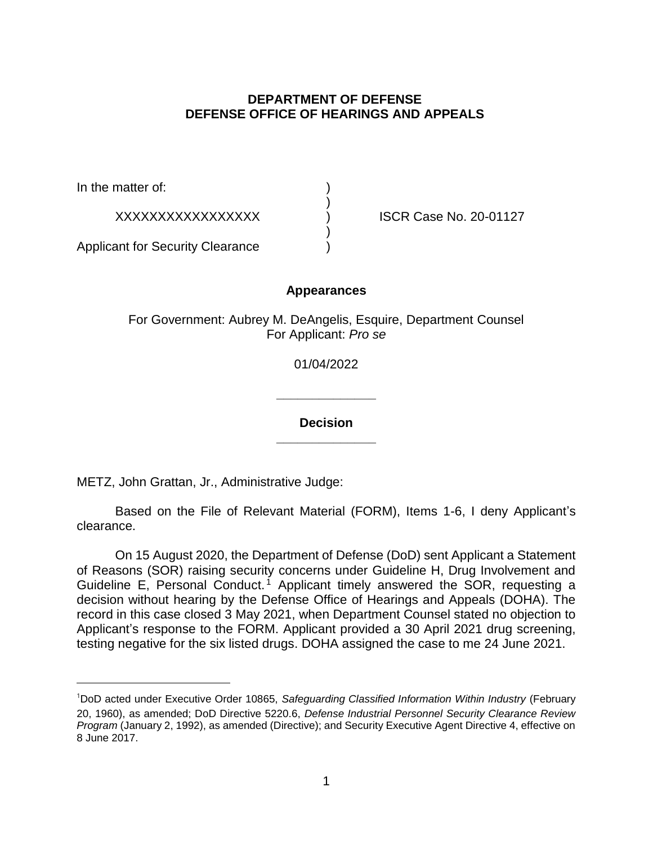## **DEPARTMENT OF DEFENSE DEFENSE OFFICE OF HEARINGS AND APPEALS**

In the matter of:

XXXXXXXXXXXXXXXXX ) ISCR Case No. 20-01127

Applicant for Security Clearance )

### **Appearances**

)

)

For Government: Aubrey M. DeAngelis, Esquire, Department Counsel For Applicant: *Pro se* 

01/04/2022

**\_\_\_\_\_\_\_\_\_\_\_\_\_\_** 

**\_\_\_\_\_\_\_\_\_\_\_\_\_\_ Decision** 

METZ, John Grattan, Jr., Administrative Judge:

 Based on the File of Relevant Material (FORM), Items 1-6, I deny Applicant's clearance.

 On 15 August 2020, the Department of Defense (DoD) sent Applicant a Statement of Reasons (SOR) raising security concerns under Guideline H, Drug Involvement and Guideline E, Personal Conduct.<sup>1</sup> Applicant timely answered the SOR, requesting a decision without hearing by the Defense Office of Hearings and Appeals (DOHA). The Applicant's response to the FORM. Applicant provided a 30 April 2021 drug screening, record in this case closed 3 May 2021, when Department Counsel stated no objection to testing negative for the six listed drugs. DOHA assigned the case to me 24 June 2021.

<sup>&</sup>lt;sup>1</sup>DoD acted under Executive Order 10865, Safeguarding Classified Information Within Industry (February 20, 1960), as amended; DoD Directive 5220.6, *Defense Industrial Personnel Security Clearance Review Program* (January 2, 1992), as amended (Directive); and Security Executive Agent Directive 4, effective on 8 June 2017.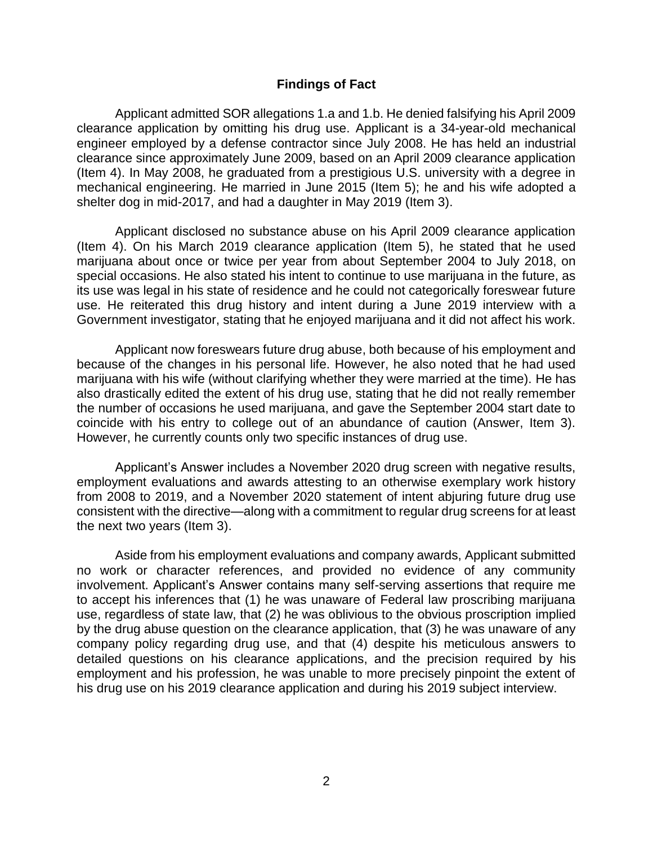### **Findings of Fact**

 clearance application by omitting his drug use. Applicant is a 34-year-old mechanical engineer employed by a defense contractor since July 2008. He has held an industrial clearance since approximately June 2009, based on an April 2009 clearance application (Item 4). In May 2008, he graduated from a prestigious U.S. university with a degree in mechanical engineering. He married in June 2015 (Item 5); he and his wife adopted a Applicant admitted SOR allegations 1.a and 1.b. He denied falsifying his April 2009 shelter dog in mid-2017, and had a daughter in May 2019 (Item 3).

 Applicant disclosed no substance abuse on his April 2009 clearance application (Item 4). On his March 2019 clearance application (Item 5), he stated that he used marijuana about once or twice per year from about September 2004 to July 2018, on special occasions. He also stated his intent to continue to use marijuana in the future, as its use was legal in his state of residence and he could not categorically foreswear future use. He reiterated this drug history and intent during a June 2019 interview with a Government investigator, stating that he enjoyed marijuana and it did not affect his work.

 Applicant now foreswears future drug abuse, both because of his employment and because of the changes in his personal life. However, he also noted that he had used marijuana with his wife (without clarifying whether they were married at the time). He has also drastically edited the extent of his drug use, stating that he did not really remember the number of occasions he used marijuana, and gave the September 2004 start date to coincide with his entry to college out of an abundance of caution (Answer, Item 3). However, he currently counts only two specific instances of drug use.

 Applicant's Answer includes a November 2020 drug screen with negative results, employment evaluations and awards attesting to an otherwise exemplary work history from 2008 to 2019, and a November 2020 statement of intent abjuring future drug use consistent with the directive—along with a commitment to regular drug screens for at least the next two years (Item 3).

 Aside from his employment evaluations and company awards, Applicant submitted no work or character references, and provided no evidence of any community involvement. Applicant's Answer contains many self-serving assertions that require me to accept his inferences that (1) he was unaware of Federal law proscribing marijuana use, regardless of state law, that (2) he was oblivious to the obvious proscription implied by the drug abuse question on the clearance application, that (3) he was unaware of any company policy regarding drug use, and that (4) despite his meticulous answers to detailed questions on his clearance applications, and the precision required by his his drug use on his 2019 clearance application and during his 2019 subject interview. employment and his profession, he was unable to more precisely pinpoint the extent of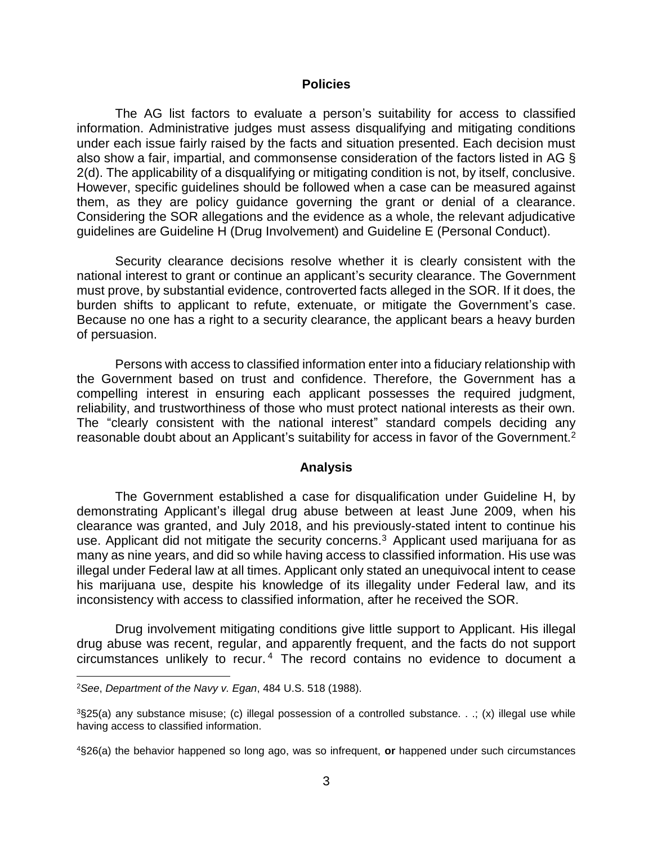#### **Policies**

 The AG list factors to evaluate a person's suitability for access to classified information. Administrative judges must assess disqualifying and mitigating conditions under each issue fairly raised by the facts and situation presented. Each decision must also show a fair, impartial, and commonsense consideration of the factors listed in AG § 2(d). The applicability of a disqualifying or mitigating condition is not, by itself, conclusive. However, specific guidelines should be followed when a case can be measured against them, as they are policy guidance governing the grant or denial of a clearance. Considering the SOR allegations and the evidence as a whole, the relevant adjudicative guidelines are Guideline H (Drug Involvement) and Guideline E (Personal Conduct).

 Security clearance decisions resolve whether it is clearly consistent with the national interest to grant or continue an applicant's security clearance. The Government must prove, by substantial evidence, controverted facts alleged in the SOR. If it does, the burden shifts to applicant to refute, extenuate, or mitigate the Government's case. Because no one has a right to a security clearance, the applicant bears a heavy burden of persuasion.

 Persons with access to classified information enter into a fiduciary relationship with the Government based on trust and confidence. Therefore, the Government has a compelling interest in ensuring each applicant possesses the required judgment, reliability, and trustworthiness of those who must protect national interests as their own. The "clearly consistent with the national interest" standard compels deciding any reasonable doubt about an Applicant's suitability for access in favor of the Government.<sup>2</sup>

### **Analysis**

 The Government established a case for disqualification under Guideline H, by demonstrating Applicant's illegal drug abuse between at least June 2009, when his clearance was granted, and July 2018, and his previously-stated intent to continue his use. Applicant did not mitigate the security concerns.<sup>3</sup> Applicant used marijuana for as many as nine years, and did so while having access to classified information. His use was illegal under Federal law at all times. Applicant only stated an unequivocal intent to cease his marijuana use, despite his knowledge of its illegality under Federal law, and its inconsistency with access to classified information, after he received the SOR.

 Drug involvement mitigating conditions give little support to Applicant. His illegal drug abuse was recent, regular, and apparently frequent, and the facts do not support circumstances unlikely to recur. 4 The record contains no evidence to document a

 $\overline{a}$ 

<sup>2</sup>*See*, *Department of the Navy v. Egan*, 484 U.S. 518 (1988).

 3§25(a) any substance misuse; (c) illegal possession of a controlled substance. . .; (x) illegal use while having access to classified information.

 4§26(a) the behavior happened so long ago, was so infrequent, **or** happened under such circumstances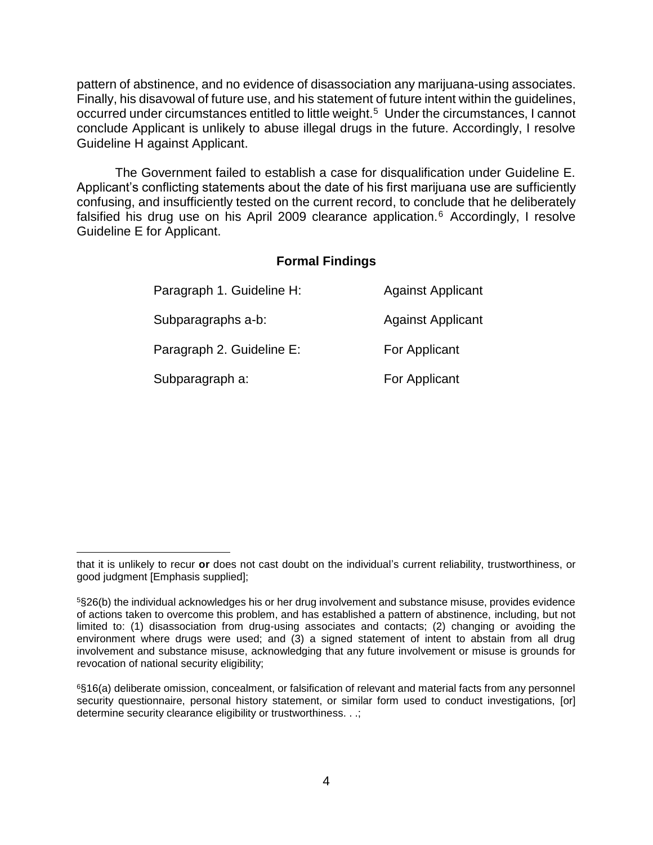pattern of abstinence, and no evidence of disassociation any marijuana-using associates. Finally, his disavowal of future use, and his statement of future intent within the guidelines, occurred under circumstances entitled to little weight.<sup>5</sup> Under the circumstances, I cannot conclude Applicant is unlikely to abuse illegal drugs in the future. Accordingly, I resolve Guideline H against Applicant.

 The Government failed to establish a case for disqualification under Guideline E. Applicant's conflicting statements about the date of his first marijuana use are sufficiently confusing, and insufficiently tested on the current record, to conclude that he deliberately falsified his drug use on his April 2009 clearance application.<sup>6</sup> Accordingly, I resolve Guideline E for Applicant.

## **Formal Findings**

| Paragraph 1. Guideline H: | <b>Against Applicant</b> |
|---------------------------|--------------------------|
| Subparagraphs a-b:        | <b>Against Applicant</b> |
| Paragraph 2. Guideline E: | For Applicant            |
| Subparagraph a:           | For Applicant            |

 $\overline{a}$  that it is unlikely to recur **or** does not cast doubt on the individual's current reliability, trustworthiness, or good judgment [Emphasis supplied];

 5§26(b) the individual acknowledges his or her drug involvement and substance misuse, provides evidence of actions taken to overcome this problem, and has established a pattern of abstinence, including, but not limited to: (1) disassociation from drug-using associates and contacts; (2) changing or avoiding the environment where drugs were used; and (3) a signed statement of intent to abstain from all drug involvement and substance misuse, acknowledging that any future involvement or misuse is grounds for revocation of national security eligibility;

 6§16(a) deliberate omission, concealment, or falsification of relevant and material facts from any personnel security questionnaire, personal history statement, or similar form used to conduct investigations, [or] determine security clearance eligibility or trustworthiness. . .;